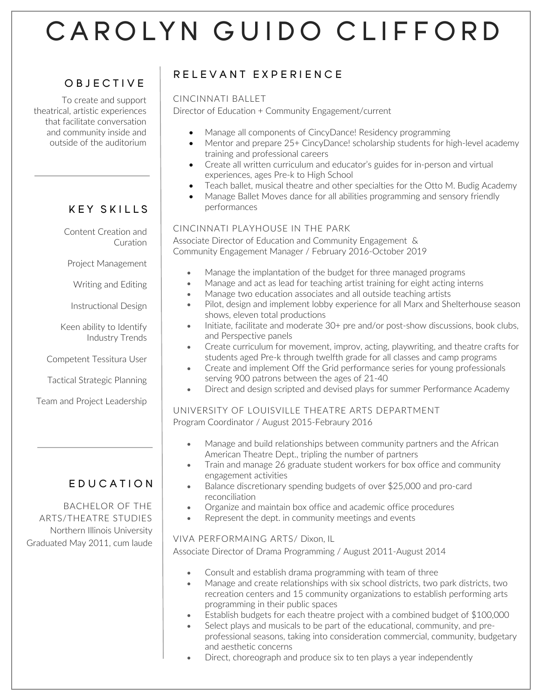# CAROLYN GUIDO CLIFFORD

## OBJECTIVE

To create and support theatrical, artistic experiences that facilitate conversation and community inside and outside of the auditorium

# KEY SKILLS

Content Creation and Curation

Project Management

Writing and Editing

Instructional Design

Keen ability to Identify Industry Trends

Competent Tessitura User

Tactical Strategic Planning

Team and Project Leadership

# EDUCATION

BACHELOR OF THE ARTS/THEATRE STUDIES Northern Illinois University Graduated May 2011, cum laude

# $\overline{a}$ RELEVANT EXPERIENCE<br>----------------------

#### CINCINNATI BALLET

Director of Education + Community Engagement/current

- Manage all components of CincyDance! Residency programming
- Mentor and prepare 25+ CincyDance! scholarship students for high-level academy training and professional careers
- Create all written curriculum and educator's guides for in-person and virtual experiences, ages Pre-k to High School
- Teach ballet, musical theatre and other specialties for the Otto M. Budig Academy
- Manage Ballet Moves dance for all abilities programming and sensory friendly performances

#### CINCINNATI PLAYHOUSE IN THE PARK

Associate Director of Education and Community Engagement & Community Engagement Manager / February 2016-October 2019

- Manage the implantation of the budget for three managed programs
- Manage and act as lead for teaching artist training for eight acting interns
- Manage two education associates and all outside teaching artists
- Pilot, design and implement lobby experience for all Marx and Shelterhouse season shows, eleven total productions
- Initiate, facilitate and moderate 30+ pre and/or post-show discussions, book clubs, and Perspective panels
- Create curriculum for movement, improv, acting, playwriting, and theatre crafts for students aged Pre-k through twelfth grade for all classes and camp programs
- Create and implement Off the Grid performance series for young professionals serving 900 patrons between the ages of 21-40
- Direct and design scripted and devised plays for summer Performance Academy

#### UNIVERSITY OF LOUISVILLE THEATRE ARTS DEPARTMENT Program Coordinator / August 2015-Febraury 2016

- Manage and build relationships between community partners and the African American Theatre Dept., tripling the number of partners
- Train and manage 26 graduate student workers for box office and community engagement activities
- Balance discretionary spending budgets of over \$25,000 and pro-card reconciliation
- Organize and maintain box office and academic office procedures
- Represent the dept. in community meetings and events

#### VIVA PERFORMAING ARTS/ Dixon, IL

Associate Director of Drama Programming / August 2011-August 2014

- Consult and establish drama programming with team of three
- Manage and create relationships with six school districts, two park districts, two recreation centers and 15 community organizations to establish performing arts programming in their public spaces
- Establish budgets for each theatre project with a combined budget of \$100,000
- Select plays and musicals to be part of the educational, community, and preprofessional seasons, taking into consideration commercial, community, budgetary and aesthetic concerns
- Direct, choreograph and produce six to ten plays a year independently